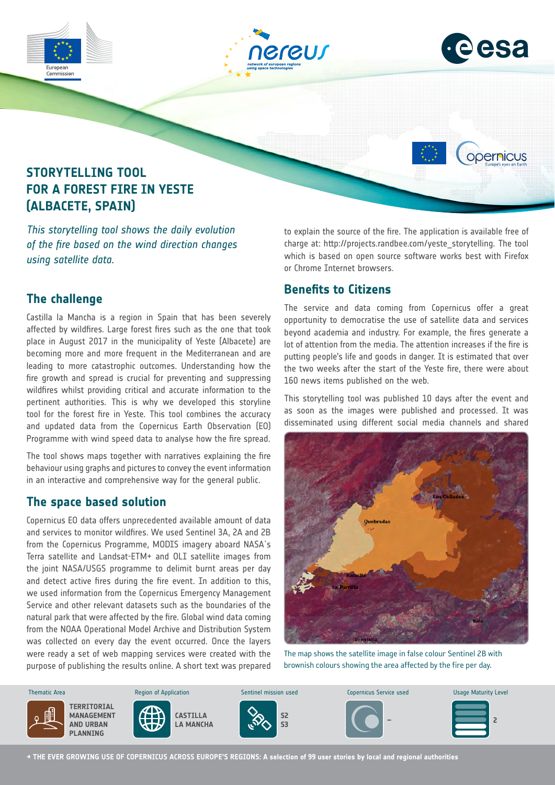

*This storytelling tool shows the daily evolution of the fire based on the wind direction changes using satellite data.*

## **The challenge**

Castilla la Mancha is a region in Spain that has been severely affected by wildfires. Large forest fires such as the one that took place in August 2017 in the municipality of Yeste (Albacete) are becoming more and more frequent in the Mediterranean and are leading to more catastrophic outcomes. Understanding how the fire growth and spread is crucial for preventing and suppressing wildfires whilst providing critical and accurate information to the pertinent authorities. This is why we developed this storyline tool for the forest fire in Yeste. This tool combines the accuracy and updated data from the Copernicus Earth Observation (EO) Programme with wind speed data to analyse how the fire spread.

The tool shows maps together with narratives explaining the fire behaviour using graphs and pictures to convey the event information in an interactive and comprehensive way for the general public.

### **The space based solution**

Copernicus EO data offers unprecedented available amount of data and services to monitor wildfires. We used Sentinel 3A, 2A and 2B from the Copernicus Programme, MODIS imagery aboard NASA´s Terra satellite and Landsat-ETM+ and OLI satellite images from the joint NASA/USGS programme to delimit burnt areas per day and detect active fires during the fire event. In addition to this, we used information from the Copernicus Emergency Management Service and other relevant datasets such as the boundaries of the natural park that were affected by the fire. Global wind data coming from the NOAA Operational Model Archive and Distribution System was collected on every day the event occurred. Once the layers were ready a set of web mapping services were created with the purpose of publishing the results online. A short text was prepared to explain the source of the fire. The application is available free of charge at: http://projects.randbee.com/yeste\_storytelling. The tool which is based on open source software works best with Firefox or Chrome Internet browsers.

### **Benefits to Citizens**

The service and data coming from Copernicus offer a great opportunity to democratise the use of satellite data and services beyond academia and industry. For example, the fires generate a lot of attention from the media. The attention increases if the fire is putting people's life and goods in danger. It is estimated that over the two weeks after the start of the Yeste fire, there were about 160 news items published on the web.

This storytelling tool was published 10 days after the event and as soon as the images were published and processed. It was disseminated using different social media channels and shared



The map shows the satellite image in false colour Sentinel 2B with brownish colours showing the area affected by the fire per day.



**→ THE EVER GROWING USE OF COPERNICUS ACROSS EUROPE'S REGIONS: A selection of 99 user stories by local and regional authorities**